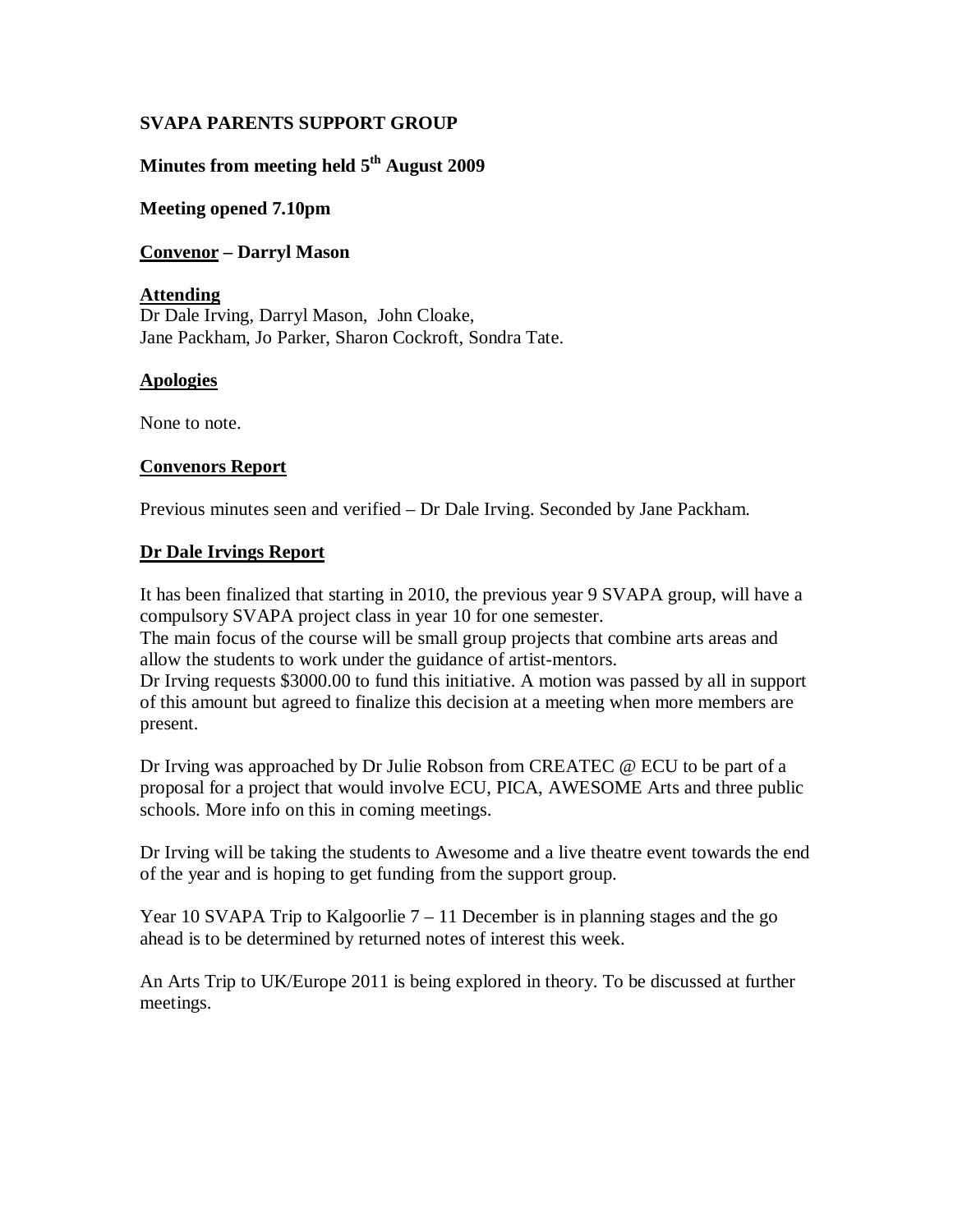## **SVAPA PARENTS SUPPORT GROUP**

# Minutes from meeting held 5<sup>th</sup> August 2009

#### **Meeting opened 7.10pm**

#### **Convenor – Darryl Mason**

#### **Attending**

Dr Dale Irving, Darryl Mason, John Cloake, Jane Packham, Jo Parker, Sharon Cockroft, Sondra Tate.

#### **Apologies**

None to note.

#### **Convenors Report**

Previous minutes seen and verified – Dr Dale Irving. Seconded by Jane Packham.

#### **Dr Dale Irvings Report**

It has been finalized that starting in 2010, the previous year 9 SVAPA group, will have a compulsory SVAPA project class in year 10 for one semester.

The main focus of the course will be small group projects that combine arts areas and allow the students to work under the guidance of artist-mentors.

Dr Irving requests \$3000.00 to fund this initiative. A motion was passed by all in support of this amount but agreed to finalize this decision at a meeting when more members are present.

Dr Irving was approached by Dr Julie Robson from CREATEC @ ECU to be part of a proposal for a project that would involve ECU, PICA, AWESOME Arts and three public schools. More info on this in coming meetings.

Dr Irving will be taking the students to Awesome and a live theatre event towards the end of the year and is hoping to get funding from the support group.

Year 10 SVAPA Trip to Kalgoorlie  $7 - 11$  December is in planning stages and the go ahead is to be determined by returned notes of interest this week.

An Arts Trip to UK/Europe 2011 is being explored in theory. To be discussed at further meetings.